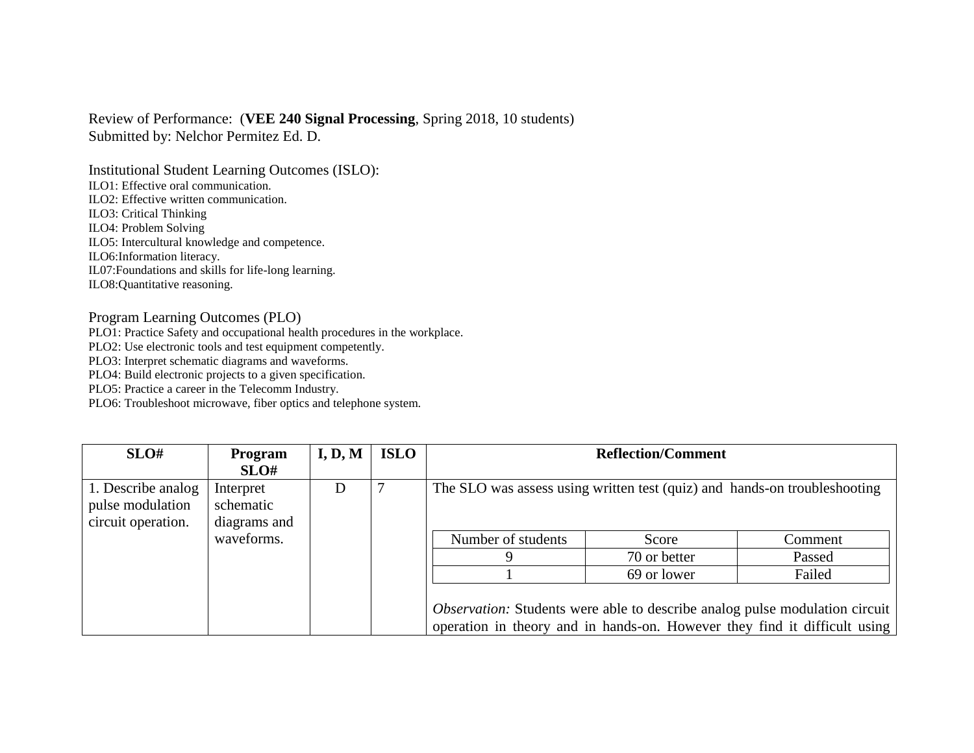## Review of Performance: (**VEE 240 Signal Processing**, Spring 2018, 10 students) Submitted by: Nelchor Permitez Ed. D.

Institutional Student Learning Outcomes (ISLO): ILO1: Effective oral communication. ILO2: Effective written communication. ILO3: Critical Thinking ILO4: Problem Solving ILO5: Intercultural knowledge and competence. ILO6:Information literacy. IL07:Foundations and skills for life-long learning. ILO8:Quantitative reasoning.

## Program Learning Outcomes (PLO)

PLO1: Practice Safety and occupational health procedures in the workplace.

PLO2: Use electronic tools and test equipment competently.

PLO3: Interpret schematic diagrams and waveforms.

PLO4: Build electronic projects to a given specification.

PLO5: Practice a career in the Telecomm Industry.

PLO6: Troubleshoot microwave, fiber optics and telephone system.

| SLO#                                                         | <b>Program</b><br>SLO#                 | I, D, M | <b>ISLO</b> | <b>Reflection/Comment</b>                                                 |              |                                                                                                                                                                 |  |
|--------------------------------------------------------------|----------------------------------------|---------|-------------|---------------------------------------------------------------------------|--------------|-----------------------------------------------------------------------------------------------------------------------------------------------------------------|--|
| 1. Describe analog<br>pulse modulation<br>circuit operation. | Interpret<br>schematic<br>diagrams and | D       |             | The SLO was assess using written test (quiz) and hands-on troubleshooting |              |                                                                                                                                                                 |  |
|                                                              | waveforms.                             |         |             | Number of students                                                        | Score        | Comment                                                                                                                                                         |  |
|                                                              |                                        |         |             |                                                                           | 70 or better | Passed                                                                                                                                                          |  |
|                                                              |                                        |         |             |                                                                           | 69 or lower  | Failed                                                                                                                                                          |  |
|                                                              |                                        |         |             |                                                                           |              | <i>Observation:</i> Students were able to describe analog pulse modulation circuit<br>operation in theory and in hands-on. However they find it difficult using |  |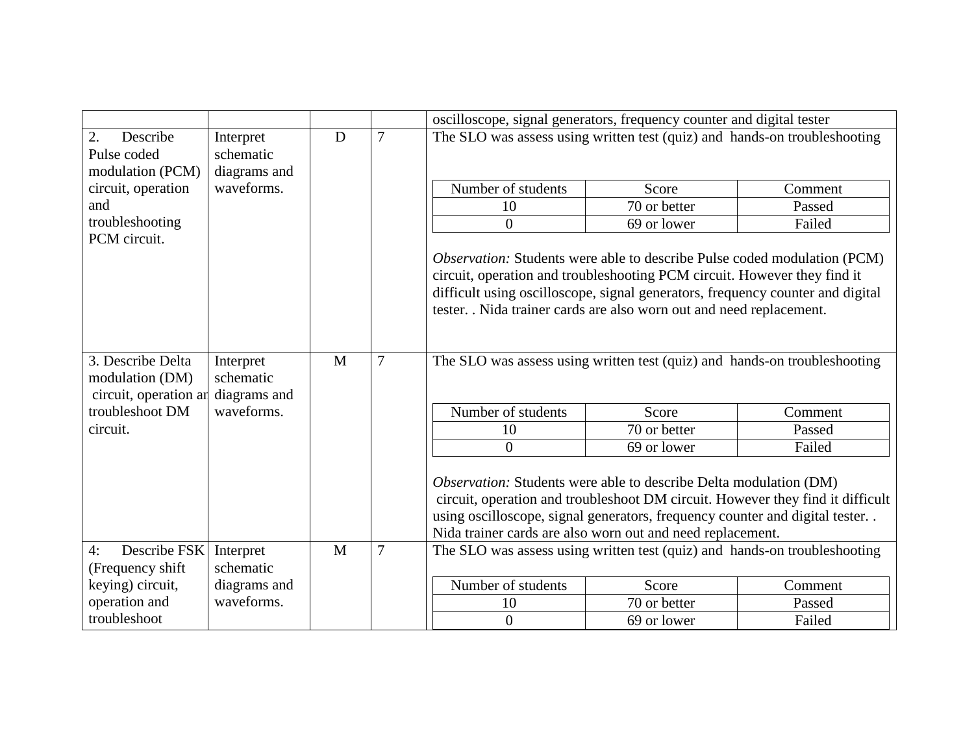|                                                   |                                        |   |                | oscilloscope, signal generators, frequency counter and digital tester                                                                                                                                                                                                                            |                                                                                                                                                                                                                                                                                                                                                                                                    |         |  |
|---------------------------------------------------|----------------------------------------|---|----------------|--------------------------------------------------------------------------------------------------------------------------------------------------------------------------------------------------------------------------------------------------------------------------------------------------|----------------------------------------------------------------------------------------------------------------------------------------------------------------------------------------------------------------------------------------------------------------------------------------------------------------------------------------------------------------------------------------------------|---------|--|
| 2.<br>Describe<br>Pulse coded<br>modulation (PCM) | Interpret<br>schematic<br>diagrams and | D | 7              | The SLO was assess using written test (quiz) and hands-on troubleshooting                                                                                                                                                                                                                        |                                                                                                                                                                                                                                                                                                                                                                                                    |         |  |
| circuit, operation                                | waveforms.                             |   |                | Number of students                                                                                                                                                                                                                                                                               | Score                                                                                                                                                                                                                                                                                                                                                                                              | Comment |  |
| and                                               |                                        |   |                | 10                                                                                                                                                                                                                                                                                               | 70 or better                                                                                                                                                                                                                                                                                                                                                                                       | Passed  |  |
| troubleshooting<br>PCM circuit.                   |                                        |   |                | $\overline{0}$                                                                                                                                                                                                                                                                                   | 69 or lower                                                                                                                                                                                                                                                                                                                                                                                        | Failed  |  |
| 7<br>3. Describe Delta<br>M<br>Interpret          |                                        |   |                |                                                                                                                                                                                                                                                                                                  | <i>Observation:</i> Students were able to describe Pulse coded modulation (PCM)<br>circuit, operation and troubleshooting PCM circuit. However they find it<br>difficult using oscilloscope, signal generators, frequency counter and digital<br>tester. . Nida trainer cards are also worn out and need replacement.<br>The SLO was assess using written test (quiz) and hands-on troubleshooting |         |  |
| modulation (DM)<br>circuit, operation ar          | schematic<br>diagrams and              |   |                |                                                                                                                                                                                                                                                                                                  |                                                                                                                                                                                                                                                                                                                                                                                                    |         |  |
| troubleshoot DM                                   | waveforms.                             |   |                | Number of students                                                                                                                                                                                                                                                                               | Score                                                                                                                                                                                                                                                                                                                                                                                              | Comment |  |
| circuit.                                          |                                        |   |                | 10                                                                                                                                                                                                                                                                                               | 70 or better                                                                                                                                                                                                                                                                                                                                                                                       | Passed  |  |
|                                                   |                                        |   |                | $\overline{0}$                                                                                                                                                                                                                                                                                   | 69 or lower                                                                                                                                                                                                                                                                                                                                                                                        | Failed  |  |
|                                                   |                                        |   |                | Observation: Students were able to describe Delta modulation (DM)<br>circuit, operation and troubleshoot DM circuit. However they find it difficult<br>using oscilloscope, signal generators, frequency counter and digital tester<br>Nida trainer cards are also worn out and need replacement. |                                                                                                                                                                                                                                                                                                                                                                                                    |         |  |
| Describe FSK<br>4:<br>(Frequency shift            | Interpret<br>schematic                 | M | $\overline{7}$ | The SLO was assess using written test (quiz) and hands-on troubleshooting                                                                                                                                                                                                                        |                                                                                                                                                                                                                                                                                                                                                                                                    |         |  |
| keying) circuit,                                  | diagrams and                           |   |                | Number of students                                                                                                                                                                                                                                                                               | Score                                                                                                                                                                                                                                                                                                                                                                                              | Comment |  |
| operation and                                     | waveforms.                             |   |                | 10                                                                                                                                                                                                                                                                                               | 70 or better                                                                                                                                                                                                                                                                                                                                                                                       | Passed  |  |
| troubleshoot                                      |                                        |   |                | $\overline{0}$                                                                                                                                                                                                                                                                                   | 69 or lower                                                                                                                                                                                                                                                                                                                                                                                        | Failed  |  |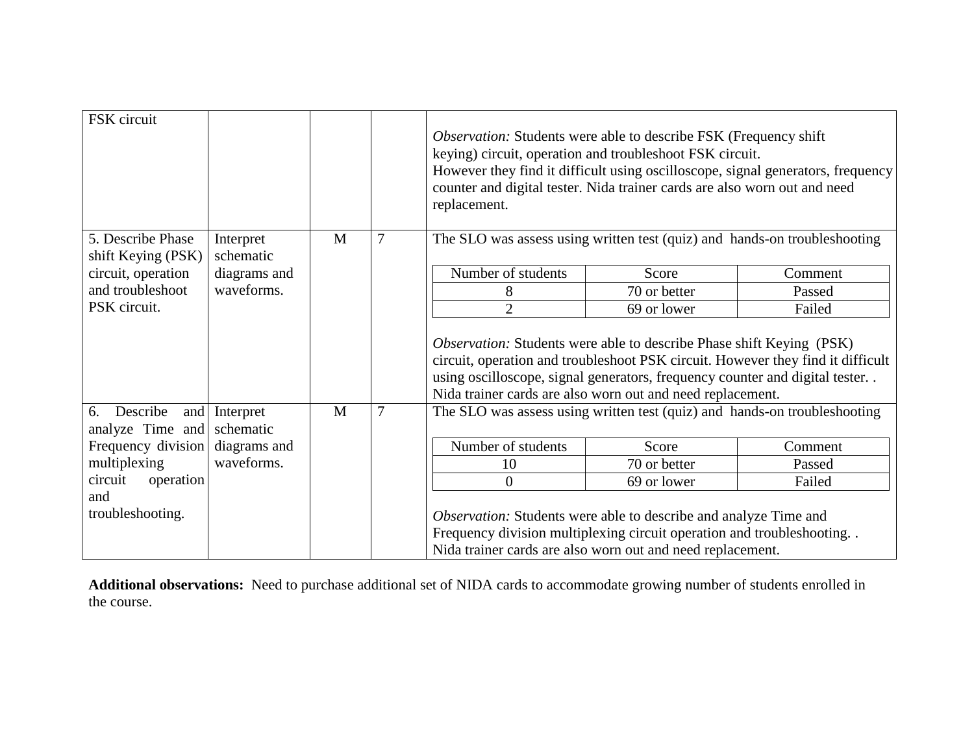| FSK circuit                               |                        |   |                | Observation: Students were able to describe FSK (Frequency shift)<br>keying) circuit, operation and troubleshoot FSK circuit.<br>However they find it difficult using oscilloscope, signal generators, frequency<br>counter and digital tester. Nida trainer cards are also worn out and need<br>replacement. |              |         |
|-------------------------------------------|------------------------|---|----------------|---------------------------------------------------------------------------------------------------------------------------------------------------------------------------------------------------------------------------------------------------------------------------------------------------------------|--------------|---------|
| 5. Describe Phase<br>shift Keying (PSK)   | Interpret<br>schematic | M | 7              | The SLO was assess using written test (quiz) and hands-on troubleshooting                                                                                                                                                                                                                                     |              |         |
| circuit, operation                        | diagrams and           |   |                | Number of students                                                                                                                                                                                                                                                                                            | Score        | Comment |
| and troubleshoot                          | waveforms.             |   |                | 8                                                                                                                                                                                                                                                                                                             | 70 or better | Passed  |
| PSK circuit.                              |                        |   |                | $\overline{2}$                                                                                                                                                                                                                                                                                                | 69 or lower  | Failed  |
|                                           |                        |   |                | <i>Observation:</i> Students were able to describe Phase shift Keying (PSK)<br>circuit, operation and troubleshoot PSK circuit. However they find it difficult<br>using oscilloscope, signal generators, frequency counter and digital tester<br>Nida trainer cards are also worn out and need replacement.   |              |         |
| Describe<br>6.<br>and<br>analyze Time and | Interpret<br>schematic | M | $\overline{7}$ | The SLO was assess using written test (quiz) and hands-on troubleshooting                                                                                                                                                                                                                                     |              |         |
| Frequency division                        | diagrams and           |   |                | Number of students                                                                                                                                                                                                                                                                                            | Score        | Comment |
| multiplexing                              | waveforms.             |   |                | 10                                                                                                                                                                                                                                                                                                            | 70 or better | Passed  |
| circuit<br>operation                      |                        |   |                | $\overline{0}$                                                                                                                                                                                                                                                                                                | 69 or lower  | Failed  |
| and<br>troubleshooting.                   |                        |   |                | Observation: Students were able to describe and analyze Time and<br>Frequency division multiplexing circuit operation and troubleshooting<br>Nida trainer cards are also worn out and need replacement.                                                                                                       |              |         |

**Additional observations:** Need to purchase additional set of NIDA cards to accommodate growing number of students enrolled in the course.